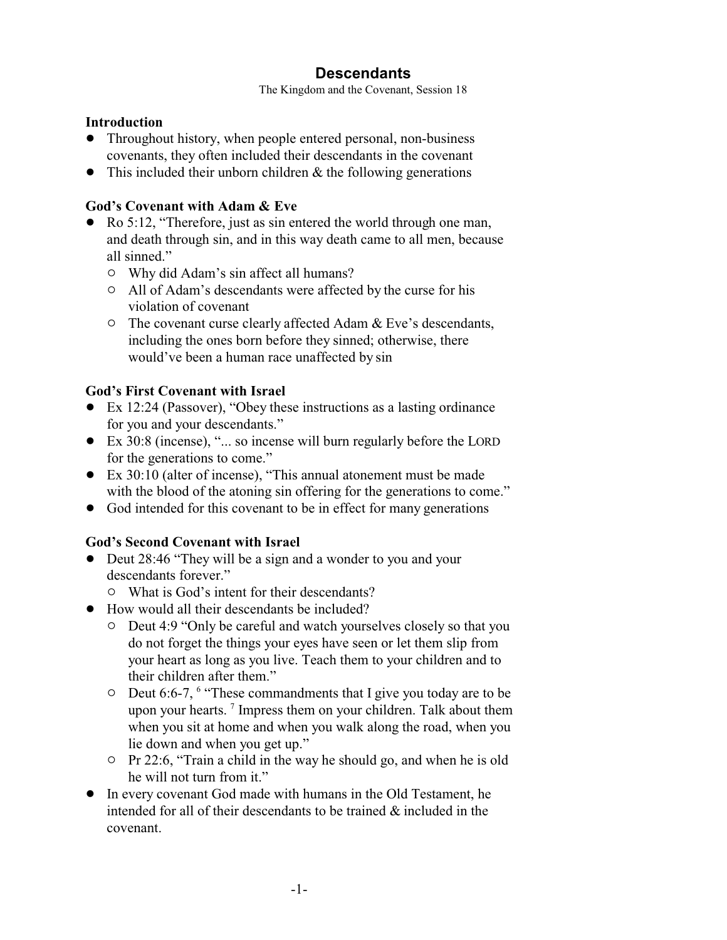# **Descendants**

The Kingdom and the Covenant, Session 18

#### **Introduction**

- Throughout history, when people entered personal, non-business covenants, they often included their descendants in the covenant
- $\bullet$  This included their unborn children & the following generations

### **God's Covenant with Adam & Eve**

- Ro 5:12, "Therefore, just as sin entered the world through one man, and death through sin, and in this way death came to all men, because all sinned."
	- $\circ$  Why did Adam's sin affect all humans?
	- <sup>o</sup> All of Adam's descendants were affected by the curse for his violation of covenant
	- $\circ$  The covenant curse clearly affected Adam & Eve's descendants, including the ones born before they sinned; otherwise, there would've been a human race unaffected by sin

### **God's First Covenant with Israel**

- Ex 12:24 (Passover), "Obey these instructions as a lasting ordinance for you and your descendants."
- Ex 30:8 (incense), "... so incense will burn regularly before the LORD for the generations to come."
- ! Ex 30:10 (alter of incense), "This annual atonement must be made with the blood of the atoning sin offering for the generations to come."
- God intended for this covenant to be in effect for many generations

### **God's Second Covenant with Israel**

- Deut 28:46 "They will be a sign and a wonder to you and your descendants forever."
	- $\circ$  What is God's intent for their descendants?
- ! How would all their descendants be included?
	- $\circ$  Deut 4:9 "Only be careful and watch yourselves closely so that you do not forget the things your eyes have seen or let them slip from your heart as long as you live. Teach them to your children and to their children after them."
	- $\circ$  Deut 6:6-7,  $\circ$  "These commandments that I give you today are to be upon your hearts.<sup>7</sup> Impress them on your children. Talk about them when you sit at home and when you walk along the road, when you lie down and when you get up."
	- " Pr 22:6, "Train a child in the way he should go, and when he is old he will not turn from it."
- ! In every covenant God made with humans in the Old Testament, he intended for all of their descendants to be trained & included in the covenant.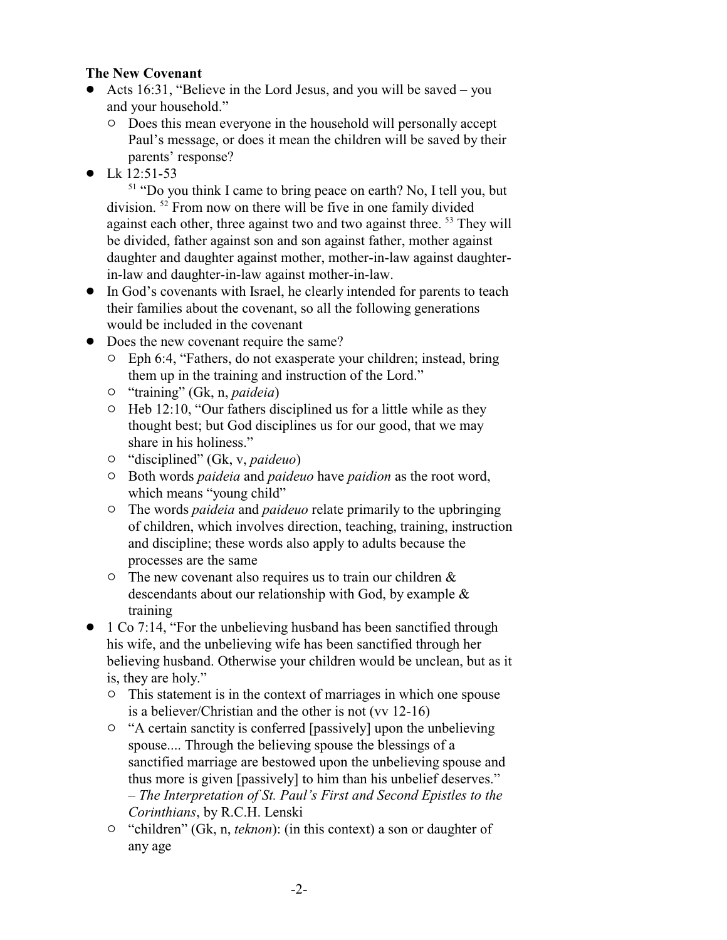#### **The New Covenant**

- Acts 16:31, "Believe in the Lord Jesus, and you will be saved you and your household."
	- $\circ$  Does this mean everyone in the household will personally accept Paul's message, or does it mean the children will be saved by their parents' response?
- $\bullet$  Lk 12:51-53

<sup>51</sup> "Do you think I came to bring peace on earth? No, I tell you, but division.<sup>52</sup> From now on there will be five in one family divided against each other, three against two and two against three. <sup>53</sup> They will be divided, father against son and son against father, mother against daughter and daughter against mother, mother-in-law against daughterin-law and daughter-in-law against mother-in-law.

- ! In God's covenants with Israel, he clearly intended for parents to teach their families about the covenant, so all the following generations would be included in the covenant
- Does the new covenant require the same?
	- $\circ$  Eph 6:4, "Fathers, do not exasperate your children; instead, bring them up in the training and instruction of the Lord."
	- " "training" (Gk, n, *paideia*)
	- $\circ$  Heb 12:10, "Our fathers disciplined us for a little while as they thought best; but God disciplines us for our good, that we may share in his holiness."
	- " "disciplined" (Gk, v, *paideuo*)
	- " Both words *paideia* and *paideuo* have *paidion* as the root word, which means "young child"
	- " The words *paideia* and *paideuo* relate primarily to the upbringing of children, which involves direction, teaching, training, instruction and discipline; these words also apply to adults because the processes are the same
	- $\circ$  The new covenant also requires us to train our children & descendants about our relationship with God, by example & training
- 1 Co 7:14, "For the unbelieving husband has been sanctified through his wife, and the unbelieving wife has been sanctified through her believing husband. Otherwise your children would be unclean, but as it is, they are holy."
	- $\circ$  This statement is in the context of marriages in which one spouse is a believer/Christian and the other is not (vv 12-16)
	- $\circ$  "A certain sanctity is conferred [passively] upon the unbelieving spouse.... Through the believing spouse the blessings of a sanctified marriage are bestowed upon the unbelieving spouse and thus more is given [passively] to him than his unbelief deserves." – *The Interpretation of St. Paul's First and Second Epistles to the Corinthians*, by R.C.H. Lenski
	- <sup>o</sup> "children" (Gk, n, *teknon*): (in this context) a son or daughter of any age